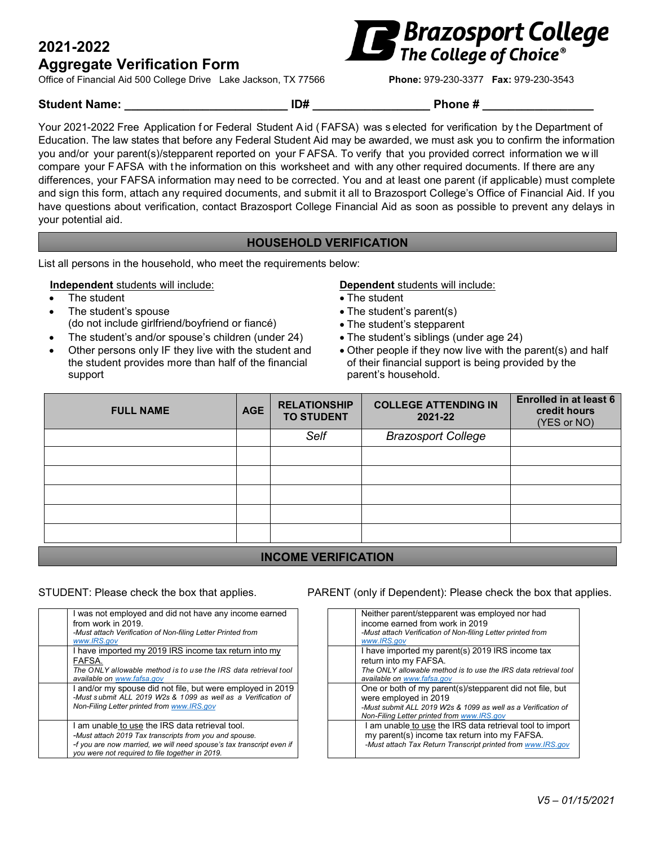# **2021-2022**

# **Aggregate Verification Form**

Office of Financial Aid 500 College Drive Lake Jackson, TX 77566 **Phone:** 979-230-3377 **Fax:** 979-230-3543



#### Student Name:  $\overline{ADH}$  **ID#**  $\overline{PDH}$  Phone #

Your 2021-2022 Free Application for Federal Student Aid (FAFSA) was selected for verification by the Department of Education. The law states that before any Federal Student Aid may be awarded, we must ask you to confirm the information you and/or your parent(s)/stepparent reported on your FAFSA. To verify that you provided correct information we w ill compare your FAFSA with the information on this worksheet and with any other required documents. If there are any differences, your FAFSA information may need to be corrected. You and at least one parent (if applicable) must complete and sign this form, attach any required documents, and submit it all to Brazosport College's Office of Financial Aid. If you have questions about verification, contact Brazosport College Financial Aid as soon as possible to prevent any delays in your potential aid.

## **HOUSEHOLD VERIFICATION**

List all persons in the household, who meet the requirements below:

#### **Independent** students will include: **Dependent** students will include:

- 
- The student's spouse (do not include girlfriend/boyfriend or fiancé)
- The student's and/or spouse's children (under 24) The student's siblings (under age 24)
- Other persons only IF they live with the student and the student provides more than half of the financial support

- The student The student The student
	- The student's parent(s)
	- The student's stepparent
	-
	- Other people if they now live with the parent(s) and half of their financial support is being provided by the parent's household.

| <b>FULL NAME</b> | <b>AGE</b> | <b>RELATIONSHIP</b><br><b>TO STUDENT</b> | <b>COLLEGE ATTENDING IN</b><br>2021-22 | <b>Enrolled in at least 6</b><br>credit hours<br>(YES or NO) |
|------------------|------------|------------------------------------------|----------------------------------------|--------------------------------------------------------------|
|                  |            | Self                                     | <b>Brazosport College</b>              |                                                              |
|                  |            |                                          |                                        |                                                              |
|                  |            |                                          |                                        |                                                              |
|                  |            |                                          |                                        |                                                              |
|                  |            |                                          |                                        |                                                              |
|                  |            |                                          |                                        |                                                              |
|                  |            |                                          |                                        |                                                              |

## **INCOME VERIFICATION**

| I was not employed and did not have any income earned<br>from work in 2019<br>-Must attach Verification of Non-filing Letter Printed from<br>www.IRS.aov                                                                             |
|--------------------------------------------------------------------------------------------------------------------------------------------------------------------------------------------------------------------------------------|
| I have imported my 2019 IRS income tax return into my<br>FAFSA.<br>The ONLY allowable method is to use the IRS data retrieval tool<br>available on www.fafsa.gov                                                                     |
| I and/or my spouse did not file, but were employed in 2019<br>-Must submit ALL 2019 W2s & 1099 as well as a Verification of<br>Non-Filing Letter printed from www.IRS.gov                                                            |
| I am unable to use the IRS data retrieval tool.<br>-Must attach 2019 Tax transcripts from you and spouse.<br>-f you are now married, we will need spouse's tax transcript even if<br>you were not required to file together in 2019. |

#### STUDENT: Please check the box that applies. PARENT (only if Dependent): Please check the box that applies.

| Neither parent/stepparent was employed nor had<br>income earned from work in 2019<br>-Must attach Verification of Non-filing Letter printed from<br>www.IRS.aov                                  |
|--------------------------------------------------------------------------------------------------------------------------------------------------------------------------------------------------|
| I have imported my parent(s) 2019 IRS income tax<br>return into my FAFSA.<br>The ONLY allowable method is to use the IRS data retrieval tool<br>available on www.fafsa.gov                       |
| One or both of my parent(s)/stepparent did not file, but<br>were employed in 2019<br>-Must submit ALL 2019 W2s & 1099 as well as a Verification of<br>Non-Filing Letter printed from www.IRS.gov |
| I am unable to use the IRS data retrieval tool to import<br>my parent(s) income tax return into my FAFSA.<br>-Must attach Tax Return Transcript printed from www.IRS.gov                         |